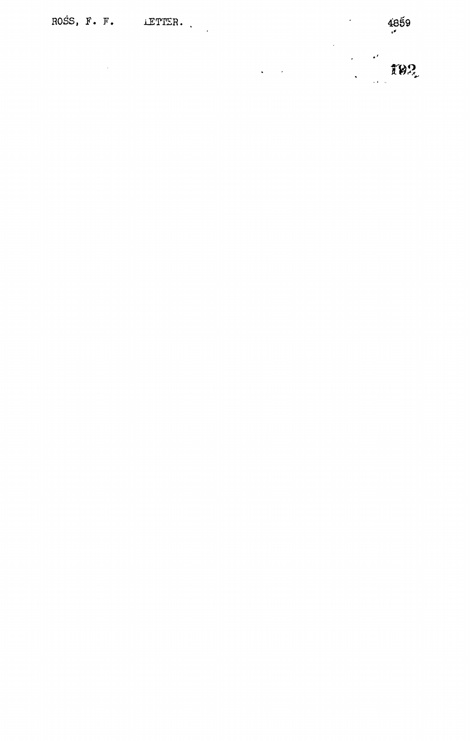ROSS,  $F \cdot F \cdot$  LETTER.

 $\mathcal{L}_{\mathcal{A}}$ 

 $\ddot{\phantom{0}}$ 

 $\frac{1}{2} \left( \frac{1}{2} \right)$  ,  $\frac{1}{2} \left( \frac{1}{2} \right)$ 

 $\frac{1}{2}$  for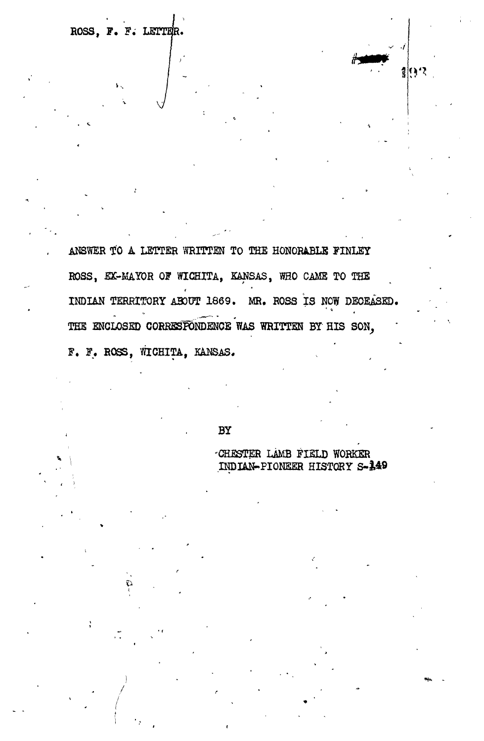ROSS, F. F. LETTER.

ANSWER TO A LETTER WRITTEN TO THE HONORABLE FINLEY ROSS, EX-MAYOR OF WICHITA, KANSAS, WHO CAME TO THE INDIAN TERRITORY ABOUT 1869. MR. ROSS IS NOW DECEASED. THE ENCLOSED CORRESPONDENCE WAS WRITTEN BY HIS SON, F. F. ROSS, WICHITA, KANSAS.

BY

CHESTER LAMB FIELD WORKER INDIAN-PIONEER HISTORY S-149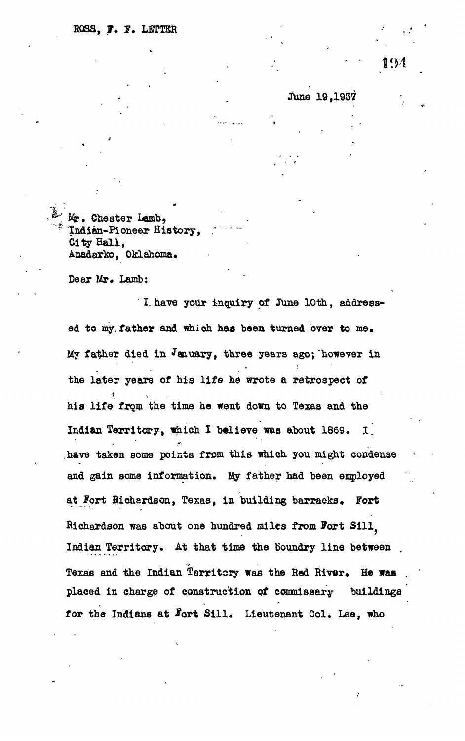June 19,1937

Mr. Chester Lamb, Indian-Pioneer History, *:* City Hall, Anadarko, Oklahoma.

Dear Mr. Lamb:

**' I. have your inquiry of June 10th, address**ed to my father and which has been turned over to me. **Hy father died in January, three years ago; however in** the later years of his life he wrote a retrospect of **the later years of his life he wrote a retrospect of** his life from the time he went down to Texas and the **hi a life from the time he went down to Texas and the** have taken some points from this which you might condense and gain some information. My father had been employed **and gain some information. My father had been employed at Fort Richardson, Texas, in building barracks. Fort Richardson was about one hundred miles from Sort Sili? Indian Territory. At that time the boundry line between** Texas and the Indian Territory was the Red River. He was **placed in charge of construction of commissary buildings** for the Indians at Fort Sill. Lieutenant Col. Lee, who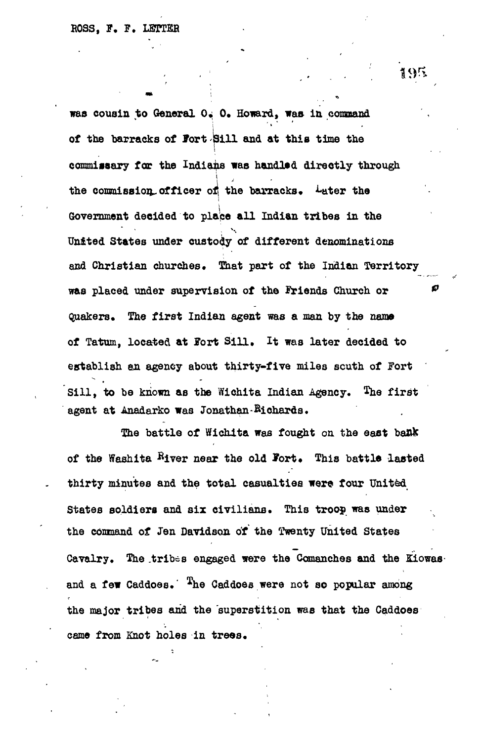**was cousin to General O. O. Howard, was in command of the barracks of Port Sill and at this time the commissary for the Indians was handl»& directly through** i **the commission^officer of the barracks\* ^ater the Government decided to place all Indian tribes in the United States under custody of different denominations and Christian churches. That part of the Indian Territory was placed under supervision of the ftriends Church or \*\* Quakers\* The first Indian agent was a man by the name of Tatum, located at IPort Sill, It was later decided to establish an agency about thirty-five miles south of Jort** Sill, to be known as the Wichita Indian Agency. The first **agent at Anadarko was Jonathan -Bichards.**

The battle of Wichita was fought on the east bank of the Washita River near the old Fort. This battle lasted **thirty minutes and the total casualties were four United States soldiers and six civilians. This troop was under the command of Jen Davidson, of the Twenty United States Cavalry. The .tribes engaged were the Comanches and the Kiowas**and a few Caddoes. <sup>The</sup> Caddoes were not so popular among **the major tribes and the superstition was that the Caddoes came from Knot holes in trees.**

 $195$